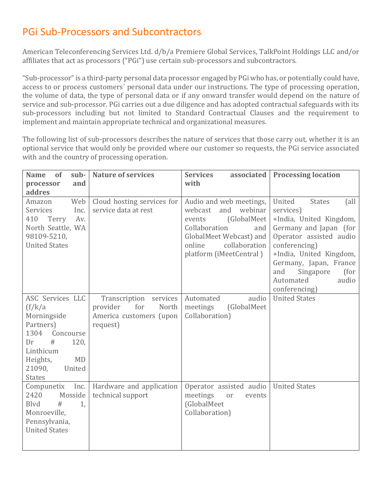## PGi Sub-Processors and Subcontractors

American Teleconferencing Services Ltd. d/b/a Premiere Global Services, TalkPoint Holdings LLC and/or affiliates that act as processors ("PGi") use certain sub-processors and subcontractors.

"Sub-processor" is a third-party personal data processor engaged by PGi who has, or potentially could have, access to or process customers´ personal data under our instructions. The type of processing operation, the volume of data, the type of personal data or if any onward transfer would depend on the nature of service and sub-processor. PGi carries out a due diligence and has adopted contractual safeguards with its sub-processors including but not limited to Standard Contractual Clauses and the requirement to implement and maintain appropriate technical and organizational measures.

The following list of sub-processors describes the nature of services that those carry out, whether it is an optional service that would only be provided where our customer so requests, the PGi service associated with and the country of processing operation.

| sub-<br><b>Name</b><br>of<br>and<br>processor                                                                                                                              | <b>Nature of services</b>                                                                 | <b>Services</b><br>associated<br>with                                                                                                                                                   | <b>Processing location</b>                                                                                                                                                                                                                                            |
|----------------------------------------------------------------------------------------------------------------------------------------------------------------------------|-------------------------------------------------------------------------------------------|-----------------------------------------------------------------------------------------------------------------------------------------------------------------------------------------|-----------------------------------------------------------------------------------------------------------------------------------------------------------------------------------------------------------------------------------------------------------------------|
| addres                                                                                                                                                                     |                                                                                           |                                                                                                                                                                                         |                                                                                                                                                                                                                                                                       |
| Web<br>Amazon<br>Services<br>Inc.<br>410<br>Terry<br>Av.<br>North Seattle, WA<br>98109-5210,<br><b>United States</b>                                                       | Cloud hosting services for<br>service data at rest                                        | Audio and web meetings,<br>webinar<br>webcast<br>and<br>(GlobalMeet)<br>events<br>Collaboration<br>and<br>GlobalMeet Webcast) and<br>collaboration<br>online<br>platform (iMeetCentral) | United<br><b>States</b><br>(all<br>services)<br>+India, United Kingdom,<br>Germany and Japan (for<br>Operator assisted audio<br>conferencing)<br>+India, United Kingdom,<br>Germany, Japan, France<br>Singapore<br>(for<br>and<br>Automated<br>audio<br>conferencing) |
| ASC Services LLC<br>(f/k/a)<br>Morningside<br>Partners)<br>1304<br>Concourse<br>#<br>Dr<br>120,<br>Linthicum<br>Heights,<br><b>MD</b><br>21090,<br>United<br><b>States</b> | Transcription services<br>provider<br>for<br>North<br>America customers (upon<br>request) | audio<br>Automated<br>meetings<br>(GlobalMeet<br>Collaboration)                                                                                                                         | <b>United States</b>                                                                                                                                                                                                                                                  |
| Inc.<br>Compunetix<br>2420<br>Mosside<br>Blvd<br>#<br>1,<br>Monroeville,<br>Pennsylvania,<br><b>United States</b>                                                          | Hardware and application<br>technical support                                             | Operator assisted audio<br>meetings<br>or<br>events<br>(GlobalMeet<br>Collaboration)                                                                                                    | <b>United States</b>                                                                                                                                                                                                                                                  |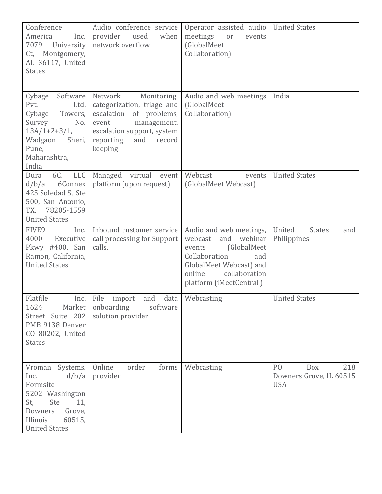| Conference<br>America<br>Inc.<br>7079<br>University<br>Montgomery,<br>Ct,<br>AL 36117, United<br><b>States</b>                                          | Audio conference service<br>provider<br>used<br>when<br>network overflow                                                                                                       | Operator assisted audio<br>meetings<br>or<br>events<br>(GlobalMeet<br>Collaboration)                                                                                                   | <b>United States</b>                                                  |
|---------------------------------------------------------------------------------------------------------------------------------------------------------|--------------------------------------------------------------------------------------------------------------------------------------------------------------------------------|----------------------------------------------------------------------------------------------------------------------------------------------------------------------------------------|-----------------------------------------------------------------------|
| Cybage<br>Software<br>Pvt.<br>Ltd.<br>Cybage<br>Towers,<br>Survey<br>No.<br>$13A/1+2+3/1,$<br>Wadgaon<br>Sheri,<br>Pune,<br>Maharashtra,<br>India       | Network<br>Monitoring,<br>categorization, triage and<br>escalation of problems,<br>event<br>management,<br>escalation support, system<br>reporting<br>and<br>record<br>keeping | Audio and web meetings<br>(GlobalMeet<br>Collaboration)                                                                                                                                | India                                                                 |
| 6C,<br>LLC<br>Dura<br>6Connex<br>d/b/a<br>425 Soledad St Ste<br>500, San Antonio,<br>78205-1559<br>TX,<br><b>United States</b>                          | Managed virtual<br>event<br>platform (upon request)                                                                                                                            | Webcast<br>events<br>(GlobalMeet Webcast)                                                                                                                                              | <b>United States</b>                                                  |
| FIVE9<br>Inc.<br>4000<br>Executive<br>Pkwy #400, San<br>Ramon, California,<br><b>United States</b>                                                      | Inbound customer service<br>call processing for Support<br>calls.                                                                                                              | Audio and web meetings,<br>webinar<br>webcast<br>and<br>(GlobalMeet<br>events<br>Collaboration<br>and<br>GlobalMeet Webcast) and<br>online<br>collaboration<br>platform (iMeetCentral) | United<br><b>States</b><br>and<br>Philippines                         |
| Flatfile<br>Inc.<br>1624<br>Market  <br>Street Suite 202<br>PMB 9138 Denver<br>CO 80202, United<br><b>States</b>                                        | File<br>and<br>data<br>import<br>onboarding<br>software<br>solution provider                                                                                                   | Webcasting                                                                                                                                                                             | <b>United States</b>                                                  |
| Vroman Systems,<br>d/b/a<br>Inc.<br>Formsite<br>5202 Washington<br>St,<br>Ste<br>11,<br>Downers<br>Grove,<br>Illinois<br>60515,<br><b>United States</b> | Online<br>order<br>forms<br>provider                                                                                                                                           | Webcasting                                                                                                                                                                             | 218<br>P <sub>O</sub><br>Box<br>Downers Grove, IL 60515<br><b>USA</b> |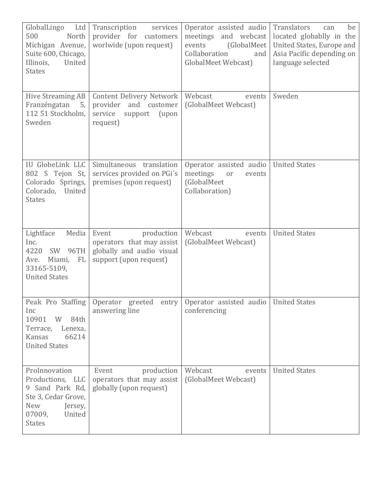| GlobalLingo<br>Ltd<br>500<br>North<br>Michigan Avenue,<br>Suite 600, Chicago,<br>United<br>Illinois,<br><b>States</b>                     | Transcription<br>services<br>provider for customers<br>worlwide (upon request)                          | Operator assisted audio<br>meetings and webcast<br>events<br>(GlobalMeet)<br>Collaboration<br>and<br>GlobalMeet Webcast) | Translators<br>be<br>can<br>located globablly in the<br>United States, Europe and<br>Asia Pacific depending on<br>language selected |
|-------------------------------------------------------------------------------------------------------------------------------------------|---------------------------------------------------------------------------------------------------------|--------------------------------------------------------------------------------------------------------------------------|-------------------------------------------------------------------------------------------------------------------------------------|
| Hive Streaming AB<br>Franzéngatan<br>5,<br>112 51 Stockholm,<br>Sweden                                                                    | Content Delivery Network<br>provider and customer<br>(upon<br>service<br>support<br>request)            | Webcast<br>events<br>(GlobalMeet Webcast)                                                                                | Sweden                                                                                                                              |
| IU GlobeLink LLC<br>802 S Tejon St,<br>Colorado Springs,<br>Colorado, United<br><b>States</b>                                             | Simultaneous translation<br>services provided on PGi's<br>premises (upon request)                       | Operator assisted audio<br>meetings<br>or<br>events<br>(GlobalMeet<br>Collaboration)                                     | <b>United States</b>                                                                                                                |
| Media<br>Lightface<br>Inc.<br>SW 96TH<br>4220<br>Miami,<br>FL<br>Ave.<br>33165-5109,<br><b>United States</b>                              | production<br>Event<br>operators that may assist<br>globally and audio visual<br>support (upon request) | Webcast<br>events<br>(GlobalMeet Webcast)                                                                                | <b>United States</b>                                                                                                                |
| Peak Pro Staffing<br>Inc<br>10901<br>W<br>84th<br>Terrace,<br>Lenexa,<br>Kansas<br>66214<br><b>United States</b>                          | Operator greeted entry<br>answering line                                                                | Operator assisted audio   United States<br>conferencing                                                                  |                                                                                                                                     |
| ProInnovation<br>Productions, LLC<br>9 Sand Park Rd,<br>Ste 3, Cedar Grove,<br><b>New</b><br>Jersey,<br>07009,<br>United<br><b>States</b> | Event<br>production<br>operators that may assist<br>globally (upon request)                             | Webcast<br>events<br>(GlobalMeet Webcast)                                                                                | <b>United States</b>                                                                                                                |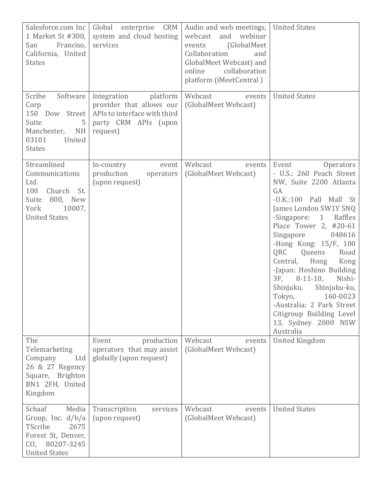| Salesforce.com Inc<br>1 Market St #300,<br>Franciso,<br>San<br>California, United<br><b>States</b>                         | Global enterprise CRM<br>system and cloud hosting<br>services                                                           | Audio and web meetings,<br>and webinar<br>webcast<br>(GlobalMeet)<br>events<br>Collaboration<br>and<br>GlobalMeet Webcast) and<br>online<br>collaboration<br>platform (iMeetCentral) | <b>United States</b>                                                                                                                                                                                                                                                                                                                                                                                                                                                                                                       |
|----------------------------------------------------------------------------------------------------------------------------|-------------------------------------------------------------------------------------------------------------------------|--------------------------------------------------------------------------------------------------------------------------------------------------------------------------------------|----------------------------------------------------------------------------------------------------------------------------------------------------------------------------------------------------------------------------------------------------------------------------------------------------------------------------------------------------------------------------------------------------------------------------------------------------------------------------------------------------------------------------|
| Scribe<br>Software<br>Corp<br>150 Dow Street<br>Suite<br>5<br>Manchester,<br><b>NH</b><br>03101<br>United<br><b>States</b> | Integration<br>platform<br>provider that allows our<br>APIs to interface with third<br>party CRM APIs (upon<br>request) | Webcast<br>events<br>(GlobalMeet Webcast)                                                                                                                                            | <b>United States</b>                                                                                                                                                                                                                                                                                                                                                                                                                                                                                                       |
| Streamlined<br>Communications<br>Ltd.<br>100<br>Church St.<br>800, New<br>Suite<br>York<br>10007,<br><b>United States</b>  | In-country<br>event<br>production<br>operators<br>(upon request)                                                        | Webcast<br>events<br>(GlobalMeet Webcast)                                                                                                                                            | Event<br>Operators<br>- U.S.: 260 Peach Street<br>NW, Suite 2200 Atlanta<br>GA<br>-U.K.:100 Pall Mall St<br>James London SW1Y 5NQ<br>-Singapore:<br>$\mathbf{1}$<br>Raffles<br>Place Tower 2, #20-61<br>Singapore<br>048616<br>-Hong Kong: $15/F$ , $100$<br>QRC<br>Queens<br>Road<br>Central,<br>Hong<br>Kong<br>-Japan: Hoshino Building<br>3F,<br>$8-11-10$ ,<br>Nishi-<br>Shinjuku,<br>Shinjuku-ku,<br>Tokyo,<br>160-0023<br>-Australia: 2 Park Street<br>Citigroup Building Level<br>13, Sydney 2000 NSW<br>Australia |
| The<br>Telemarketing<br>Company<br>Ltd<br>26 & 27 Regency<br>Square, Brighton<br>BN1 2FH, United<br>Kingdom                | Event<br>production<br>operators that may assist<br>globally (upon request)                                             | Webcast<br>events<br>(GlobalMeet Webcast)                                                                                                                                            | <b>United Kingdom</b>                                                                                                                                                                                                                                                                                                                                                                                                                                                                                                      |
| Schaaf<br>Media<br>Group, Inc. $d/b/a$<br>TScribe<br>2675<br>Forest St, Denver,<br>CO, 80207-3245<br><b>United States</b>  | Transcription<br>services<br>(upon request)                                                                             | Webcast<br>events<br>(GlobalMeet Webcast)                                                                                                                                            | <b>United States</b>                                                                                                                                                                                                                                                                                                                                                                                                                                                                                                       |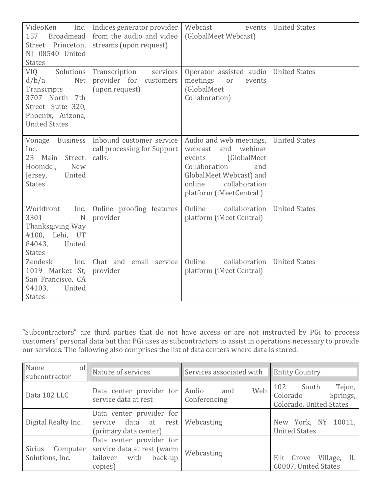| VideoKen<br>Inc.<br>157<br><b>Broadmead</b><br>Street Princeton,<br>NJ 08540 United<br><b>States</b>                                   | Indices generator provider<br>from the audio and video<br>streams (upon request) | Webcast<br>events<br>(GlobalMeet Webcast)                                                                                                                                               | <b>United States</b> |
|----------------------------------------------------------------------------------------------------------------------------------------|----------------------------------------------------------------------------------|-----------------------------------------------------------------------------------------------------------------------------------------------------------------------------------------|----------------------|
| Solutions<br>VIQ<br>Net<br>d/b/a<br>Transcripts<br>3707 North<br>7th<br>Street Suite 320,<br>Phoenix, Arizona,<br><b>United States</b> | Transcription<br>services<br>provider for customers<br>(upon request)            | Operator assisted audio<br>meetings<br>or<br>events<br>(GlobalMeet<br>Collaboration)                                                                                                    | <b>United States</b> |
| Vonage<br>Business<br>Inc.<br>23 Main<br>Street,<br>Hoomdel,<br><b>New</b><br>United<br>Jersey,<br><b>States</b>                       | Inbound customer service<br>call processing for Support<br>calls.                | Audio and web meetings,<br>and<br>webinar<br>webcast<br>(GlobalMeet)<br>events<br>Collaboration<br>and<br>GlobalMeet Webcast) and<br>collaboration<br>online<br>platform (iMeetCentral) | <b>United States</b> |
| Workfront<br>Inc.<br>3301<br>N<br>Thanksgiving Way<br>#100, Lehi, UT<br>84043,<br>United<br><b>States</b>                              | Online proofing features<br>provider                                             | Online<br>collaboration<br>platform (iMeet Central)                                                                                                                                     | <b>United States</b> |
| Zendesk<br>Inc.<br>1019 Market St,<br>San Francisco, CA<br>94103,<br>United<br><b>States</b>                                           | Chat and<br>email service<br>provider                                            | collaboration<br>Online<br>platform (iMeet Central)                                                                                                                                     | <b>United States</b> |

"Subcontractors" are third parties that do not have access or are not instructed by PGi to process customers´ personal data but that PGi uses as subcontractors to assist in operations necessary to provide our services. The following also comprises the list of data centers where data is stored.

| of <sub>l</sub><br>Name<br>subcontractor | Nature of services                                                                            | Services associated with            | <b>Entity Country</b>                                                     |
|------------------------------------------|-----------------------------------------------------------------------------------------------|-------------------------------------|---------------------------------------------------------------------------|
| Data 102 LLC                             | Data center provider for<br>service data at rest                                              | Web<br>Audio<br>and<br>Conferencing | Tejon,<br>102<br>South<br>Springs,<br>Colorado<br>Colorado, United States |
| Digital Realty Inc.                      | Data center provider for<br>service data at rest Webcasting<br>(primary data center)          |                                     | New York, NY 10011,<br><b>United States</b>                               |
| Sirius<br>Computer<br>Solutions, Inc.    | Data center provider for<br>service data at rest (warm<br>failover with<br>back-up<br>copies) | Webcasting                          | Village,<br>Elk<br>Grove<br>IL.<br>60007, United States                   |